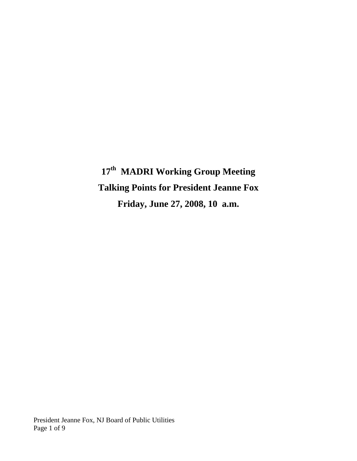# **17th MADRI Working Group Meeting Talking Points for President Jeanne Fox Friday, June 27, 2008, 10 a.m.**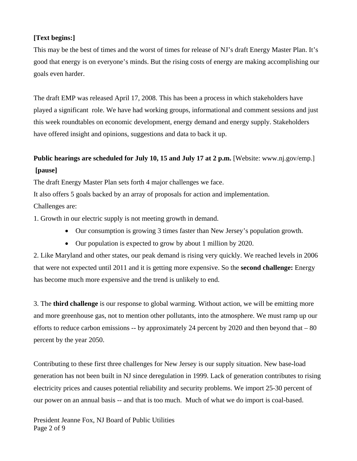### **[Text begins:]**

This may be the best of times and the worst of times for release of NJ's draft Energy Master Plan. It's good that energy is on everyone's minds. But the rising costs of energy are making accomplishing our goals even harder.

The draft EMP was released April 17, 2008. This has been a process in which stakeholders have played a significant role. We have had working groups, informational and comment sessions and just this week roundtables on economic development, energy demand and energy supply. Stakeholders have offered insight and opinions, suggestions and data to back it up.

## **Public hearings are scheduled for July 10, 15 and July 17 at 2 p.m.** [Website: www.nj.gov/emp.] **[pause]**

The draft Energy Master Plan sets forth 4 major challenges we face.

It also offers 5 goals backed by an array of proposals for action and implementation.

Challenges are:

1. Growth in our electric supply is not meeting growth in demand.

- Our consumption is growing 3 times faster than New Jersey's population growth.
- Our population is expected to grow by about 1 million by 2020.

2. Like Maryland and other states, our peak demand is rising very quickly. We reached levels in 2006 that were not expected until 2011 and it is getting more expensive. So the **second challenge:** Energy has become much more expensive and the trend is unlikely to end.

3. The **third challenge** is our response to global warming. Without action, we will be emitting more and more greenhouse gas, not to mention other pollutants, into the atmosphere. We must ramp up our efforts to reduce carbon emissions -- by approximately 24 percent by 2020 and then beyond that – 80 percent by the year 2050.

Contributing to these first three challenges for New Jersey is our supply situation. New base-load generation has not been built in NJ since deregulation in 1999. Lack of generation contributes to rising electricity prices and causes potential reliability and security problems. We import 25-30 percent of our power on an annual basis -- and that is too much. Much of what we do import is coal-based.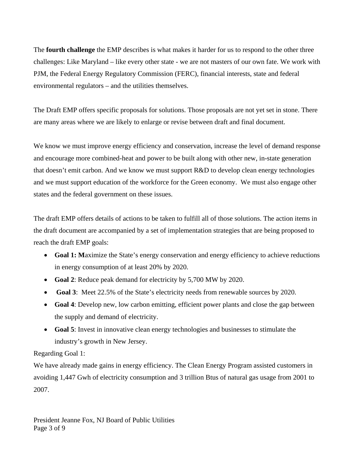The **fourth challenge** the EMP describes is what makes it harder for us to respond to the other three challenges: Like Maryland – like every other state - we are not masters of our own fate. We work with PJM, the Federal Energy Regulatory Commission (FERC), financial interests, state and federal environmental regulators – and the utilities themselves.

The Draft EMP offers specific proposals for solutions. Those proposals are not yet set in stone. There are many areas where we are likely to enlarge or revise between draft and final document.

We know we must improve energy efficiency and conservation, increase the level of demand response and encourage more combined-heat and power to be built along with other new, in-state generation that doesn't emit carbon. And we know we must support R&D to develop clean energy technologies and we must support education of the workforce for the Green economy. We must also engage other states and the federal government on these issues.

The draft EMP offers details of actions to be taken to fulfill all of those solutions. The action items in the draft document are accompanied by a set of implementation strategies that are being proposed to reach the draft EMP goals:

- **Goal 1:** Maximize the State's energy conservation and energy efficiency to achieve reductions in energy consumption of at least 20% by 2020.
- **Goal 2**: Reduce peak demand for electricity by 5,700 MW by 2020.
- **Goal 3**: Meet 22.5% of the State's electricity needs from renewable sources by 2020.
- **Goal 4**: Develop new, low carbon emitting, efficient power plants and close the gap between the supply and demand of electricity.
- **Goal 5**: Invest in innovative clean energy technologies and businesses to stimulate the industry's growth in New Jersey.

Regarding Goal 1:

We have already made gains in energy efficiency. The Clean Energy Program assisted customers in avoiding 1,447 Gwh of electricity consumption and 3 trillion Btus of natural gas usage from 2001 to 2007.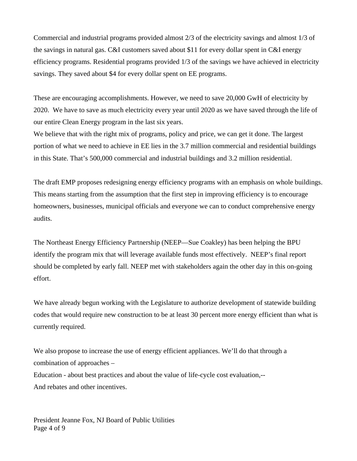Commercial and industrial programs provided almost 2/3 of the electricity savings and almost 1/3 of the savings in natural gas. C&I customers saved about \$11 for every dollar spent in C&I energy efficiency programs. Residential programs provided 1/3 of the savings we have achieved in electricity savings. They saved about \$4 for every dollar spent on EE programs.

These are encouraging accomplishments. However, we need to save 20,000 GwH of electricity by 2020. We have to save as much electricity every year until 2020 as we have saved through the life of our entire Clean Energy program in the last six years.

We believe that with the right mix of programs, policy and price, we can get it done. The largest portion of what we need to achieve in EE lies in the 3.7 million commercial and residential buildings in this State. That's 500,000 commercial and industrial buildings and 3.2 million residential.

The draft EMP proposes redesigning energy efficiency programs with an emphasis on whole buildings. This means starting from the assumption that the first step in improving efficiency is to encourage homeowners, businesses, municipal officials and everyone we can to conduct comprehensive energy audits.

The Northeast Energy Efficiency Partnership (NEEP—Sue Coakley) has been helping the BPU identify the program mix that will leverage available funds most effectively. NEEP's final report should be completed by early fall. NEEP met with stakeholders again the other day in this on-going effort.

We have already begun working with the Legislature to authorize development of statewide building codes that would require new construction to be at least 30 percent more energy efficient than what is currently required.

We also propose to increase the use of energy efficient appliances. We'll do that through a combination of approaches – Education - about best practices and about the value of life-cycle cost evaluation,-- And rebates and other incentives.

President Jeanne Fox, NJ Board of Public Utilities Page 4 of 9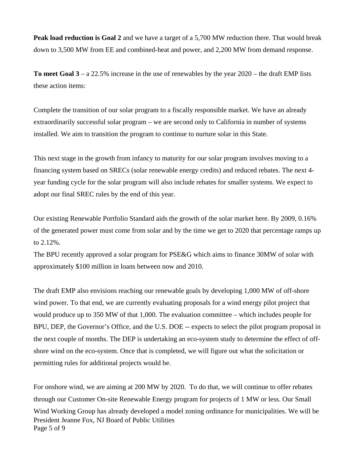**Peak load reduction is Goal 2** and we have a target of a 5,700 MW reduction there. That would break down to 3,500 MW from EE and combined-heat and power, and 2,200 MW from demand response.

**To meet Goal 3** – a 22.5% increase in the use of renewables by the year 2020 – the draft EMP lists these action items:

Complete the transition of our solar program to a fiscally responsible market. We have an already extraordinarily successful solar program – we are second only to California in number of systems installed. We aim to transition the program to continue to nurture solar in this State.

This next stage in the growth from infancy to maturity for our solar program involves moving to a financing system based on SRECs (solar renewable energy credits) and reduced rebates. The next 4 year funding cycle for the solar program will also include rebates for smaller systems. We expect to adopt our final SREC rules by the end of this year.

Our existing Renewable Portfolio Standard aids the growth of the solar market here. By 2009, 0.16% of the generated power must come from solar and by the time we get to 2020 that percentage ramps up to 2.12%.

The BPU recently approved a solar program for PSE&G which aims to finance 30MW of solar with approximately \$100 million in loans between now and 2010.

The draft EMP also envisions reaching our renewable goals by developing 1,000 MW of off-shore wind power. To that end, we are currently evaluating proposals for a wind energy pilot project that would produce up to 350 MW of that 1,000. The evaluation committee – which includes people for BPU, DEP, the Governor's Office, and the U.S. DOE -- expects to select the pilot program proposal in the next couple of months. The DEP is undertaking an eco-system study to determine the effect of offshore wind on the eco-system. Once that is completed, we will figure out what the solicitation or permitting rules for additional projects would be.

President Jeanne Fox, NJ Board of Public Utilities Page 5 of 9 For onshore wind, we are aiming at 200 MW by 2020. To do that, we will continue to offer rebates through our Customer On-site Renewable Energy program for projects of 1 MW or less. Our Small Wind Working Group has already developed a model zoning ordinance for municipalities. We will be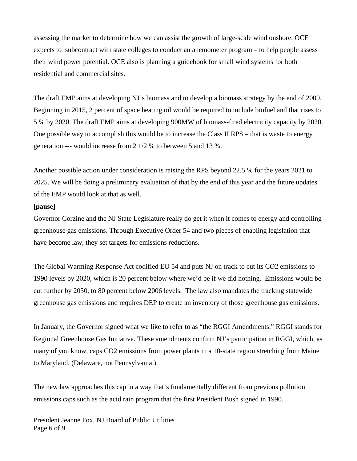assessing the market to determine how we can assist the growth of large-scale wind onshore. OCE expects to subcontract with state colleges to conduct an anemometer program – to help people assess their wind power potential. OCE also is planning a guidebook for small wind systems for both residential and commercial sites.

The draft EMP aims at developing NJ's biomass and to develop a biomass strategy by the end of 2009. Beginning in 2015, 2 percent of space heating oil would be required to include biofuel and that rises to 5 % by 2020. The draft EMP aims at developing 900MW of biomass-fired electricity capacity by 2020. One possible way to accomplish this would be to increase the Class II RPS – that is waste to energy generation --- would increase from 2 1/2 % to between 5 and 13 %.

Another possible action under consideration is raising the RPS beyond 22.5 % for the years 2021 to 2025. We will be doing a preliminary evaluation of that by the end of this year and the future updates of the EMP would look at that as well.

#### **[pause]**

Governor Corzine and the NJ State Legislature really do get it when it comes to energy and controlling greenhouse gas emissions. Through Executive Order 54 and two pieces of enabling legislation that have become law, they set targets for emissions reductions.

The Global Warming Response Act codified EO 54 and puts NJ on track to cut its CO2 emissions to 1990 levels by 2020, which is 20 percent below where we'd be if we did nothing. Emissions would be cut further by 2050, to 80 percent below 2006 levels. The law also mandates the tracking statewide greenhouse gas emissions and requires DEP to create an inventory of those greenhouse gas emissions.

In January, the Governor signed what we like to refer to as "the RGGI Amendments." RGGI stands for Regional Greenhouse Gas Initiative. These amendments confirm NJ's participation in RGGI, which, as many of you know, caps CO2 emissions from power plants in a 10-state region stretching from Maine to Maryland. (Delaware, not Pennsylvania.)

The new law approaches this cap in a way that's fundamentally different from previous pollution emissions caps such as the acid rain program that the first President Bush signed in 1990.

President Jeanne Fox, NJ Board of Public Utilities Page 6 of 9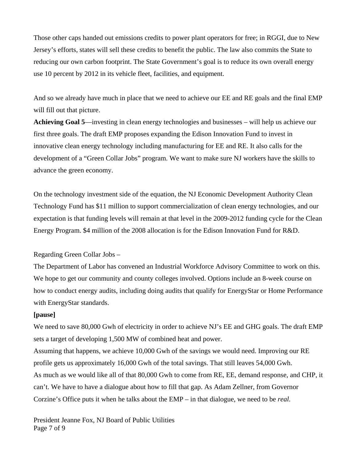Those other caps handed out emissions credits to power plant operators for free; in RGGI, due to New Jersey's efforts, states will sell these credits to benefit the public. The law also commits the State to reducing our own carbon footprint. The State Government's goal is to reduce its own overall energy use 10 percent by 2012 in its vehicle fleet, facilities, and equipment.

And so we already have much in place that we need to achieve our EE and RE goals and the final EMP will fill out that picture.

**Achieving Goal 5**—investing in clean energy technologies and businesses – will help us achieve our first three goals. The draft EMP proposes expanding the Edison Innovation Fund to invest in innovative clean energy technology including manufacturing for EE and RE. It also calls for the development of a "Green Collar Jobs" program. We want to make sure NJ workers have the skills to advance the green economy.

On the technology investment side of the equation, the NJ Economic Development Authority Clean Technology Fund has \$11 million to support commercialization of clean energy technologies, and our expectation is that funding levels will remain at that level in the 2009-2012 funding cycle for the Clean Energy Program. \$4 million of the 2008 allocation is for the Edison Innovation Fund for R&D.

Regarding Green Collar Jobs –

The Department of Labor has convened an Industrial Workforce Advisory Committee to work on this. We hope to get our community and county colleges involved. Options include an 8-week course on how to conduct energy audits, including doing audits that qualify for EnergyStar or Home Performance with EnergyStar standards.

#### **[pause]**

We need to save 80,000 Gwh of electricity in order to achieve NJ's EE and GHG goals. The draft EMP sets a target of developing 1,500 MW of combined heat and power.

Assuming that happens, we achieve 10,000 Gwh of the savings we would need. Improving our RE profile gets us approximately 16,000 Gwh of the total savings. That still leaves 54,000 Gwh. As much as we would like all of that 80,000 Gwh to come from RE, EE, demand response, and CHP, it can't. We have to have a dialogue about how to fill that gap. As Adam Zellner, from Governor Corzine's Office puts it when he talks about the EMP – in that dialogue, we need to be *real.* 

President Jeanne Fox, NJ Board of Public Utilities Page 7 of 9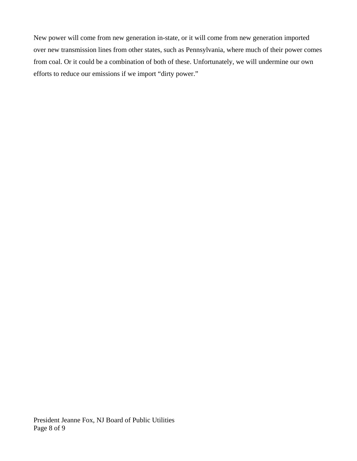New power will come from new generation in-state, or it will come from new generation imported over new transmission lines from other states, such as Pennsylvania, where much of their power comes from coal. Or it could be a combination of both of these. Unfortunately, we will undermine our own efforts to reduce our emissions if we import "dirty power."